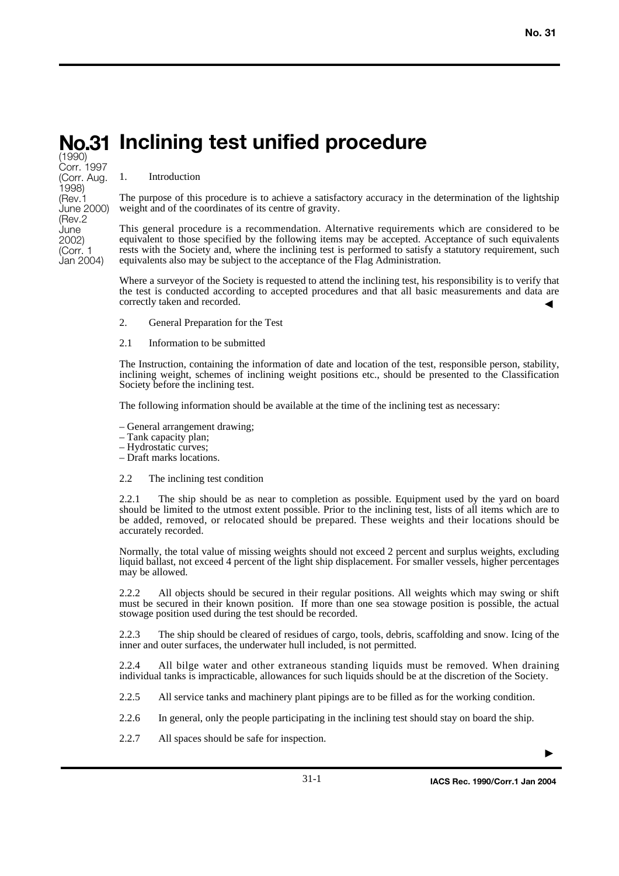# **Inclining test unified procedure No.31**

(1990) Corr. 1997 (Corr. Aug. 1998) (Rev.1 June 2000) (Rev.2 June 2002) (Corr. 1 Jan 2004)

#### 1. Introduction

The purpose of this procedure is to achieve a satisfactory accuracy in the determination of the lightship weight and of the coordinates of its centre of gravity.

This general procedure is a recommendation. Alternative requirements which are considered to be equivalent to those specified by the following items may be accepted. Acceptance of such equivalents rests with the Society and, where the inclining test is performed to satisfy a statutory requirement, such equivalents also may be subject to the acceptance of the Flag Administration.

Where a surveyor of the Society is requested to attend the inclining test, his responsibility is to verify that the test is conducted according to accepted procedures and that all basic measurements and data are correctly taken and recorded. ▼

- 2. General Preparation for the Test
- 2.1 Information to be submitted

The Instruction, containing the information of date and location of the test, responsible person, stability, inclining weight, schemes of inclining weight positions etc., should be presented to the Classification Society before the inclining test.

The following information should be available at the time of the inclining test as necessary:

- General arrangement drawing;
- Tank capacity plan;
- Hydrostatic curves;
- Draft marks locations.

#### 2.2 The inclining test condition

2.2.1 The ship should be as near to completion as possible. Equipment used by the yard on board should be limited to the utmost extent possible. Prior to the inclining test, lists of all items which are to be added, removed, or relocated should be prepared. These weights and their locations should be accurately recorded.

Normally, the total value of missing weights should not exceed 2 percent and surplus weights, excluding liquid ballast, not exceed 4 percent of the light ship displacement. For smaller vessels, higher percentages may be allowed.

2.2.2 All objects should be secured in their regular positions. All weights which may swing or shift must be secured in their known position. If more than one sea stowage position is possible, the actual stowage position used during the test should be recorded.

2.2.3 The ship should be cleared of residues of cargo, tools, debris, scaffolding and snow. Icing of the inner and outer surfaces, the underwater hull included, is not permitted.

2.2.4 All bilge water and other extraneous standing liquids must be removed. When draining individual tanks is impracticable, allowances for such liquids should be at the discretion of the Society.

- 2.2.5 All service tanks and machinery plant pipings are to be filled as for the working condition.
- 2.2.6 In general, only the people participating in the inclining test should stay on board the ship.
- 2.2.7 All spaces should be safe for inspection.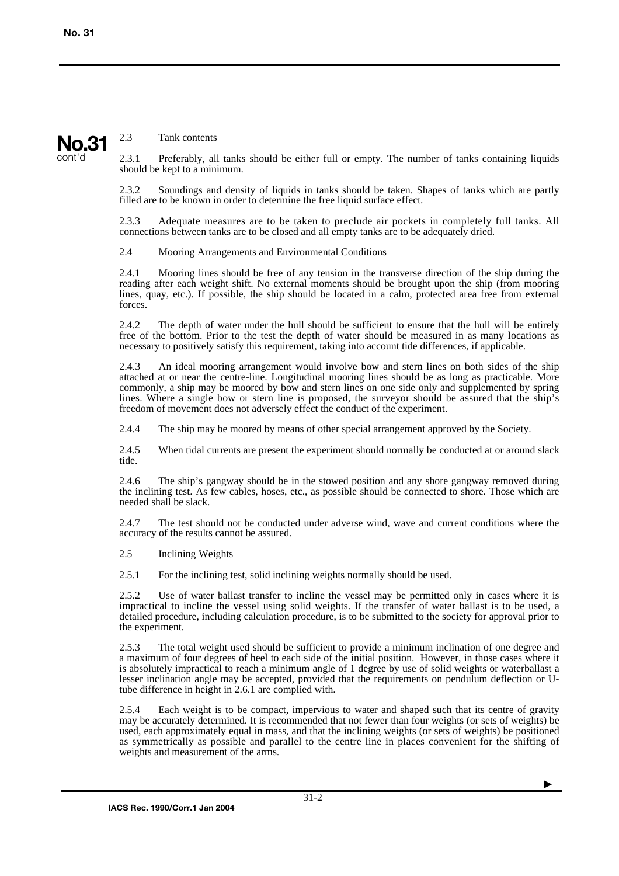## **No.31** cont'd

#### 2.3 Tank contents

2.3.1 Preferably, all tanks should be either full or empty. The number of tanks containing liquids should be kept to a minimum.

2.3.2 Soundings and density of liquids in tanks should be taken. Shapes of tanks which are partly filled are to be known in order to determine the free liquid surface effect.

2.3.3 Adequate measures are to be taken to preclude air pockets in completely full tanks. All connections between tanks are to be closed and all empty tanks are to be adequately dried.

2.4 Mooring Arrangements and Environmental Conditions

2.4.1 Mooring lines should be free of any tension in the transverse direction of the ship during the reading after each weight shift. No external moments should be brought upon the ship (from mooring lines, quay, etc.). If possible, the ship should be located in a calm, protected area free from external forces.

2.4.2 The depth of water under the hull should be sufficient to ensure that the hull will be entirely free of the bottom. Prior to the test the depth of water should be measured in as many locations as necessary to positively satisfy this requirement, taking into account tide differences, if applicable.

2.4.3 An ideal mooring arrangement would involve bow and stern lines on both sides of the ship attached at or near the centre-line. Longitudinal mooring lines should be as long as practicable. More commonly, a ship may be moored by bow and stern lines on one side only and supplemented by spring lines. Where a single bow or stern line is proposed, the surveyor should be assured that the ship's freedom of movement does not adversely effect the conduct of the experiment.

2.4.4 The ship may be moored by means of other special arrangement approved by the Society.

2.4.5 When tidal currents are present the experiment should normally be conducted at or around slack tide.

2.4.6 The ship's gangway should be in the stowed position and any shore gangway removed during the inclining test. As few cables, hoses, etc., as possible should be connected to shore. Those which are needed shall be slack.

2.4.7 The test should not be conducted under adverse wind, wave and current conditions where the accuracy of the results cannot be assured.

2.5 Inclining Weights

2.5.1 For the inclining test, solid inclining weights normally should be used.

2.5.2 Use of water ballast transfer to incline the vessel may be permitted only in cases where it is impractical to incline the vessel using solid weights. If the transfer of water ballast is to be used, a detailed procedure, including calculation procedure, is to be submitted to the society for approval prior to the experiment.

2.5.3 The total weight used should be sufficient to provide a minimum inclination of one degree and a maximum of four degrees of heel to each side of the initial position. However, in those cases where it is absolutely impractical to reach a minimum angle of 1 degree by use of solid weights or waterballast a lesser inclination angle may be accepted, provided that the requirements on pendulum deflection or Utube difference in height in 2.6.1 are complied with.

2.5.4 Each weight is to be compact, impervious to water and shaped such that its centre of gravity may be accurately determined. It is recommended that not fewer than four weights (or sets of weights) be used, each approximately equal in mass, and that the inclining weights (or sets of weights) be positioned as symmetrically as possible and parallel to the centre line in places convenient for the shifting of weights and measurement of the arms.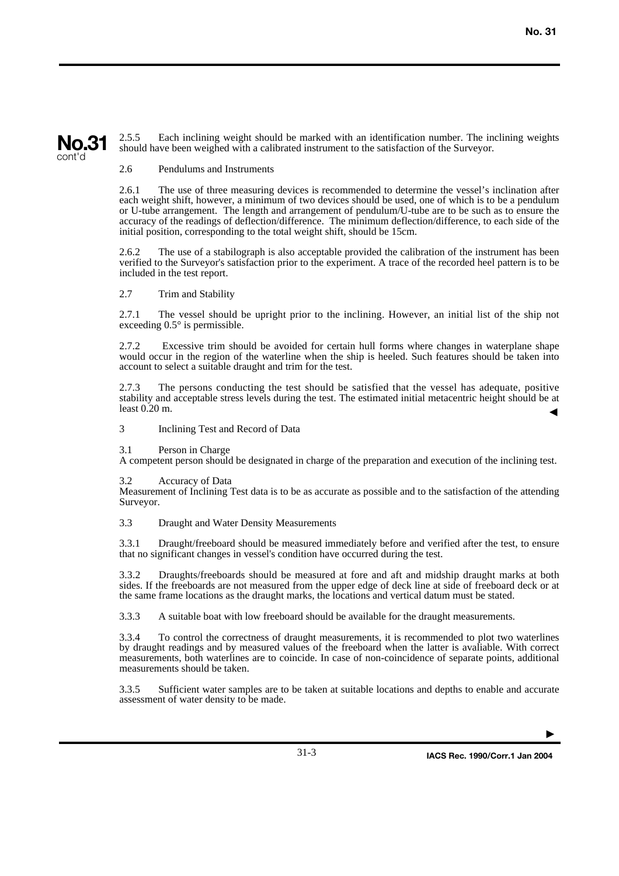## **No.31** cont'd

2.5.5 Each inclining weight should be marked with an identification number. The inclining weights should have been weighed with a calibrated instrument to the satisfaction of the Surveyor.

#### 2.6 Pendulums and Instruments

2.6.1 The use of three measuring devices is recommended to determine the vessel's inclination after each weight shift, however, a minimum of two devices should be used, one of which is to be a pendulum or U-tube arrangement. The length and arrangement of pendulum/U-tube are to be such as to ensure the accuracy of the readings of deflection/difference. The minimum deflection/difference, to each side of the initial position, corresponding to the total weight shift, should be 15cm.

2.6.2 The use of a stabilograph is also acceptable provided the calibration of the instrument has been verified to the Surveyor's satisfaction prior to the experiment. A trace of the recorded heel pattern is to be included in the test report.

#### 2.7 Trim and Stability

2.7.1 The vessel should be upright prior to the inclining. However, an initial list of the ship not exceeding  $0.5^\circ$  is permissible.

2.7.2 Excessive trim should be avoided for certain hull forms where changes in waterplane shape would occur in the region of the waterline when the ship is heeled. Such features should be taken into account to select a suitable draught and trim for the test.

2.7.3 The persons conducting the test should be satisfied that the vessel has adequate, positive stability and acceptable stress levels during the test. The estimated initial metacentric height should be at least 0.20 m. ▼

3 Inclining Test and Record of Data

3.1 Person in Charge

A competent person should be designated in charge of the preparation and execution of the inclining test.

3.2 Accuracy of Data

Measurement of Inclining Test data is to be as accurate as possible and to the satisfaction of the attending Surveyor.

3.3 Draught and Water Density Measurements

3.3.1 Draught/freeboard should be measured immediately before and verified after the test, to ensure that no significant changes in vessel's condition have occurred during the test.

3.3.2 Draughts/freeboards should be measured at fore and aft and midship draught marks at both sides. If the freeboards are not measured from the upper edge of deck line at side of freeboard deck or at the same frame locations as the draught marks, the locations and vertical datum must be stated.

3.3.3 A suitable boat with low freeboard should be available for the draught measurements.

3.3.4 To control the correctness of draught measurements, it is recommended to plot two waterlines by draught readings and by measured values of the freeboard when the latter is avaliable. With correct measurements, both waterlines are to coincide. In case of non-coincidence of separate points, additional measurements should be taken.

3.3.5 Sufficient water samples are to be taken at suitable locations and depths to enable and accurate assessment of water density to be made.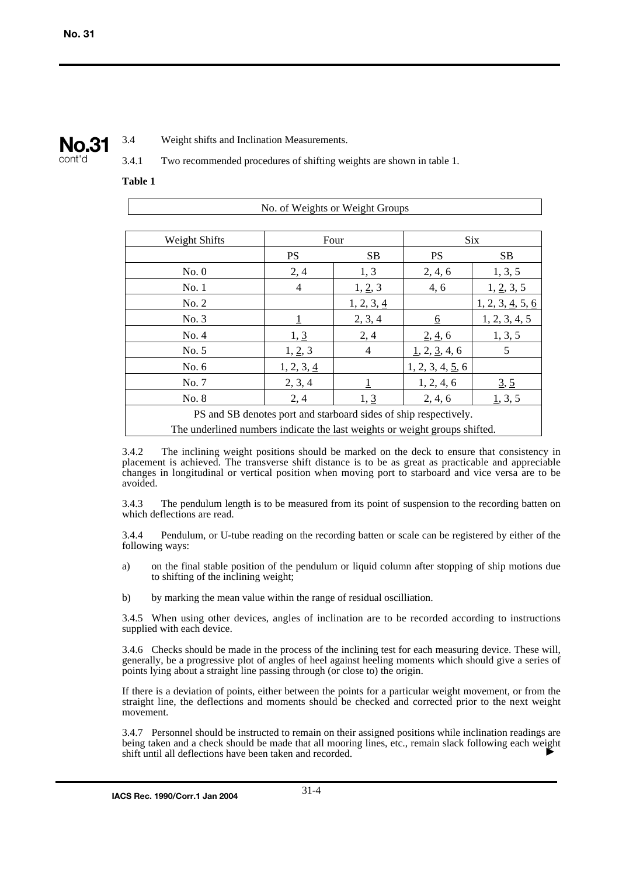

3.4 Weight shifts and Inclination Measurements.

3.4.1 Two recommended procedures of shifting weights are shown in table 1.

#### **Table 1**

| No. of Weights or Weight Groups                                            |            |            |                  |                                            |
|----------------------------------------------------------------------------|------------|------------|------------------|--------------------------------------------|
|                                                                            |            |            |                  |                                            |
| Weight Shifts                                                              | Four       |            | <b>Six</b>       |                                            |
|                                                                            | <b>PS</b>  | <b>SB</b>  | <b>PS</b>        | <b>SB</b>                                  |
| No. 0                                                                      | 2, 4       | 1, 3       | 2, 4, 6          | 1, 3, 5                                    |
| No. 1                                                                      | 4          | 1, 2, 3    | 4, 6             | 1, 2, 3, 5                                 |
| No. 2                                                                      |            | 1, 2, 3, 4 |                  | $1, 2, 3, \underline{4}, 5, \underline{6}$ |
| No. 3                                                                      |            | 2, 3, 4    | 6                | 1, 2, 3, 4, 5                              |
| No. 4                                                                      | 1, 3       | 2, 4       | 2, 4, 6          | 1, 3, 5                                    |
| No. 5                                                                      | 1, 2, 3    | 4          | 1, 2, 3, 4, 6    | 5                                          |
| No. 6                                                                      | 1, 2, 3, 4 |            | 1, 2, 3, 4, 5, 6 |                                            |
| No. 7                                                                      | 2, 3, 4    |            | 1, 2, 4, 6       | 3, 5                                       |
| No. 8                                                                      | 2, 4       | 1, 3       | 2, 4, 6          | 1, 3, 5                                    |
| PS and SB denotes port and starboard sides of ship respectively.           |            |            |                  |                                            |
| The underlined numbers indicate the last weights or weight groups shifted. |            |            |                  |                                            |

3.4.2 The inclining weight positions should be marked on the deck to ensure that consistency in placement is achieved. The transverse shift distance is to be as great as practicable and appreciable changes in longitudinal or vertical position when moving port to starboard and vice versa are to be avoided.

3.4.3 The pendulum length is to be measured from its point of suspension to the recording batten on which deflections are read.

3.4.4 Pendulum, or U-tube reading on the recording batten or scale can be registered by either of the following ways:

- a) on the final stable position of the pendulum or liquid column after stopping of ship motions due to shifting of the inclining weight;
- b) by marking the mean value within the range of residual oscilliation.

3.4.5 When using other devices, angles of inclination are to be recorded according to instructions supplied with each device.

3.4.6 Checks should be made in the process of the inclining test for each measuring device. These will, generally, be a progressive plot of angles of heel against heeling moments which should give a series of points lying about a straight line passing through (or close to) the origin.

If there is a deviation of points, either between the points for a particular weight movement, or from the straight line, the deflections and moments should be checked and corrected prior to the next weight movement.

3.4.7 Personnel should be instructed to remain on their assigned positions while inclination readings are being taken and a check should be made that all mooring lines, etc., remain slack following each weight<br>shift until all deflections have been taken and recorded shift until all deflections have been taken and recorded.